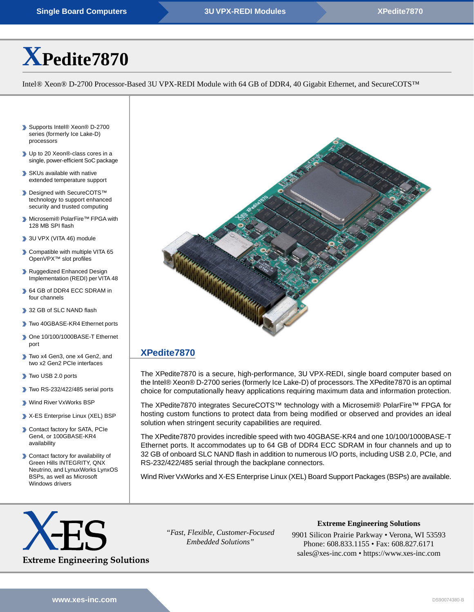# **[X](https://www.xes-inc.com/products/sbcs/xpedite7870/?utm_source=dynamic&utm_medium=referral&utm_term=XPedite7870&utm_content=Title&utm_campaign=Datasheet)[Pedite7870](https://www.xes-inc.com/products/sbcs/xpedite7870/?utm_source=dynamic&utm_medium=referral&utm_term=XPedite7870&utm_content=Title&utm_campaign=Datasheet)**

Intel® Xeon® D-2700 Processor-Based 3U VPX-REDI Module with 64 GB of DDR4, 40 Gigabit Ethernet, and SecureCOTS™

- ▶ Supports Intel<sup>®</sup> Xeon<sup>®</sup> D-2700 series (formerly Ice Lake-D) processors
- ▶ Up to 20 Xeon®-class cores in a single, power-efficient SoC package
- SKUs available with native extended temperature support
- ▶ Designed with SecureCOTS™ technology to support enhanced security and trusted computing
- Microsemi® PolarFire™ FPGA with 128 MB SPI flash
- 3U VPX (VITA 46) module
- **Compatible with multiple VITA 65** OpenVPX™ slot profiles
- Ruggedized Enhanced Design Implementation (REDI) per VITA 48
- 64 GB of DDR4 ECC SDRAM in four channels
- 32 GB of SLC NAND flash
- Two 40GBASE-KR4 Ethernet ports
- One 10/100/1000BASE-T Ethernet port
- Two x4 Gen3, one x4 Gen2, and two x2 Gen2 PCIe interfaces
- Two USB 2.0 ports
- Two RS-232/422/485 serial ports
- Wind River VxWorks BSP
- X-ES Enterprise Linux (XEL) BSP
- Contact factory for SATA, PCIe Gen4, or 100GBASE-KR4 availability
- Contact factory for availability of Green Hills INTEGRITY, QNX Neutrino, and LynuxWorks LynxOS BSPs, as well as Microsoft Windows drivers



## **[XPedite7870](https://www.xes-inc.com/products/sbcs/xpedite7870/?utm_source=dynamic&utm_medium=referral&utm_term=XPedite7870&utm_content=Description%20Title&utm_campaign=Datasheet)**

The XPedite7870 is a secure, high-performance, 3U VPX-REDI, single board computer based on the Intel® Xeon® D-2700 series (formerly Ice Lake-D) of processors.The XPedite7870 is an optimal choice for computationally heavy applications requiring maximum data and information protection.

The XPedite7870 integrates SecureCOTS™ technology with a Microsemi® PolarFire™ FPGA for hosting custom functions to protect data from being modified or observed and provides an ideal solution when stringent security capabilities are required.

The XPedite7870 provides incredible speed with two 40GBASE-KR4 and one 10/100/1000BASE-T Ethernet ports. It accommodates up to 64 GB of DDR4 ECC SDRAM in four channels and up to 32 GB of onboard SLC NAND flash in addition to numerous I/O ports, including USB 2.0, PCIe, and RS-232/422/485 serial through the backplane connectors.

Wind River VxWorks and X-ES Enterprise Linux (XEL) Board Support Packages (BSPs) are available.

![](_page_0_Picture_30.jpeg)

*"Fast, Flexible, Customer-Focused Embedded Solutions"*

**Extreme Engineering Solutions** 9901 Silicon Prairie Parkway • Verona, WI 53593

Phone: 608.833.1155 • Fax: 608.827.6171 sales@xes-inc.com • <https://www.xes-inc.com>